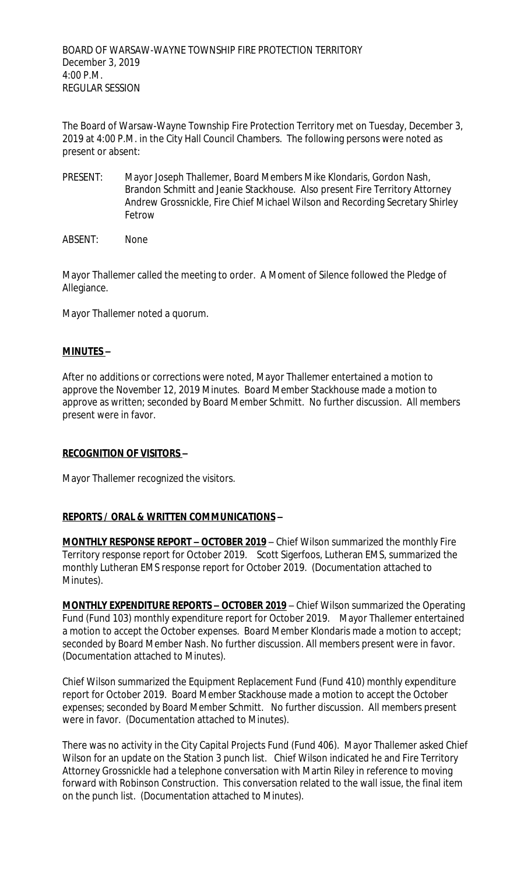The Board of Warsaw-Wayne Township Fire Protection Territory met on Tuesday, December 3, 2019 at 4:00 P.M. in the City Hall Council Chambers. The following persons were noted as present or absent:

PRESENT: Mayor Joseph Thallemer, Board Members Mike Klondaris, Gordon Nash, Brandon Schmitt and Jeanie Stackhouse. Also present Fire Territory Attorney Andrew Grossnickle, Fire Chief Michael Wilson and Recording Secretary Shirley Fetrow

ABSENT: None

Mayor Thallemer called the meeting to order. A Moment of Silence followed the Pledge of Allegiance.

Mayor Thallemer noted a quorum.

# **MINUTES –**

After no additions or corrections were noted, Mayor Thallemer entertained a motion to approve the November 12, 2019 Minutes. Board Member Stackhouse made a motion to approve as written; seconded by Board Member Schmitt. No further discussion. All members present were in favor.

# **RECOGNITION OF VISITORS –**

Mayor Thallemer recognized the visitors.

# **REPORTS / ORAL & WRITTEN COMMUNICATIONS –**

**MONTHLY RESPONSE REPORT - OCTOBER 2019** - Chief Wilson summarized the monthly Fire Territory response report for October 2019. Scott Sigerfoos, Lutheran EMS, summarized the monthly Lutheran EMS response report for October 2019. (Documentation attached to Minutes).

**MONTHLY EXPENDITURE REPORTS – OCTOBER 2019** – Chief Wilson summarized the Operating Fund (Fund 103) monthly expenditure report for October 2019. Mayor Thallemer entertained a motion to accept the October expenses. Board Member Klondaris made a motion to accept; seconded by Board Member Nash. No further discussion. All members present were in favor. (Documentation attached to Minutes).

Chief Wilson summarized the Equipment Replacement Fund (Fund 410) monthly expenditure report for October 2019. Board Member Stackhouse made a motion to accept the October expenses; seconded by Board Member Schmitt. No further discussion. All members present were in favor. (Documentation attached to Minutes).

There was no activity in the City Capital Projects Fund (Fund 406). Mayor Thallemer asked Chief Wilson for an update on the Station 3 punch list. Chief Wilson indicated he and Fire Territory Attorney Grossnickle had a telephone conversation with Martin Riley in reference to moving forward with Robinson Construction. This conversation related to the wall issue, the final item on the punch list. (Documentation attached to Minutes).